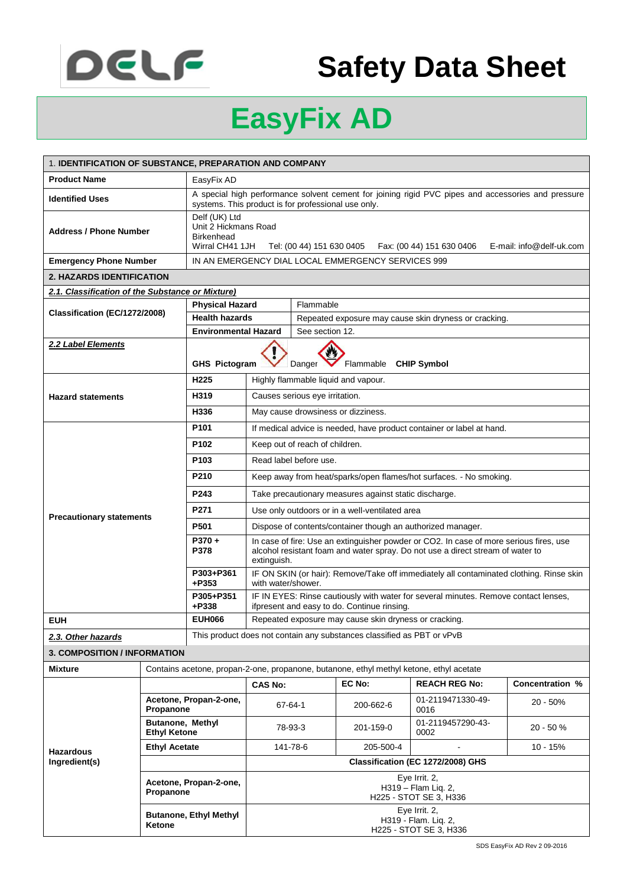

## **Safety Data Sheet**

## **EasyFix AD**

| 1. IDENTIFICATION OF SUBSTANCE, PREPARATION AND COMPANY |                                                |                                                                                                                                                                     |                                                                                                                                                                                         |                                                       |                                                                        |                                                                       |  |                 |
|---------------------------------------------------------|------------------------------------------------|---------------------------------------------------------------------------------------------------------------------------------------------------------------------|-----------------------------------------------------------------------------------------------------------------------------------------------------------------------------------------|-------------------------------------------------------|------------------------------------------------------------------------|-----------------------------------------------------------------------|--|-----------------|
| <b>Product Name</b>                                     |                                                | EasyFix AD                                                                                                                                                          |                                                                                                                                                                                         |                                                       |                                                                        |                                                                       |  |                 |
| <b>Identified Uses</b>                                  |                                                | A special high performance solvent cement for joining rigid PVC pipes and accessories and pressure<br>systems. This product is for professional use only.           |                                                                                                                                                                                         |                                                       |                                                                        |                                                                       |  |                 |
| <b>Address / Phone Number</b>                           |                                                | Delf (UK) Ltd<br>Unit 2 Hickmans Road<br><b>Birkenhead</b><br>Wirral CH41 1JH<br>E-mail: info@delf-uk.com<br>Tel: (00 44) 151 630 0405<br>Fax: (00 44) 151 630 0406 |                                                                                                                                                                                         |                                                       |                                                                        |                                                                       |  |                 |
| <b>Emergency Phone Number</b>                           |                                                | IN AN EMERGENCY DIAL LOCAL EMMERGENCY SERVICES 999                                                                                                                  |                                                                                                                                                                                         |                                                       |                                                                        |                                                                       |  |                 |
| <b>2. HAZARDS IDENTIFICATION</b>                        |                                                |                                                                                                                                                                     |                                                                                                                                                                                         |                                                       |                                                                        |                                                                       |  |                 |
| 2.1. Classification of the Substance or Mixture)        |                                                |                                                                                                                                                                     |                                                                                                                                                                                         |                                                       |                                                                        |                                                                       |  |                 |
| Classification (EC/1272/2008)                           |                                                | <b>Physical Hazard</b>                                                                                                                                              |                                                                                                                                                                                         | Flammable                                             |                                                                        |                                                                       |  |                 |
|                                                         |                                                | <b>Health hazards</b>                                                                                                                                               |                                                                                                                                                                                         | Repeated exposure may cause skin dryness or cracking. |                                                                        |                                                                       |  |                 |
|                                                         |                                                | <b>Environmental Hazard</b>                                                                                                                                         |                                                                                                                                                                                         | See section 12.                                       |                                                                        |                                                                       |  |                 |
| 2.2 Label Elements                                      |                                                | <b>GHS Pictogram</b>                                                                                                                                                |                                                                                                                                                                                         | Flammable CHIP Symbol<br>Danger                       |                                                                        |                                                                       |  |                 |
|                                                         |                                                | H <sub>225</sub>                                                                                                                                                    | Highly flammable liquid and vapour.                                                                                                                                                     |                                                       |                                                                        |                                                                       |  |                 |
| <b>Hazard statements</b>                                |                                                | H319                                                                                                                                                                | Causes serious eye irritation.                                                                                                                                                          |                                                       |                                                                        |                                                                       |  |                 |
|                                                         |                                                | H336                                                                                                                                                                | May cause drowsiness or dizziness.                                                                                                                                                      |                                                       |                                                                        |                                                                       |  |                 |
|                                                         |                                                | P <sub>101</sub>                                                                                                                                                    |                                                                                                                                                                                         |                                                       |                                                                        | If medical advice is needed, have product container or label at hand. |  |                 |
|                                                         |                                                | P <sub>102</sub>                                                                                                                                                    | Keep out of reach of children.                                                                                                                                                          |                                                       |                                                                        |                                                                       |  |                 |
|                                                         |                                                | P <sub>103</sub>                                                                                                                                                    | Read label before use.                                                                                                                                                                  |                                                       |                                                                        |                                                                       |  |                 |
|                                                         |                                                | P210                                                                                                                                                                | Keep away from heat/sparks/open flames/hot surfaces. - No smoking.                                                                                                                      |                                                       |                                                                        |                                                                       |  |                 |
|                                                         |                                                | P243                                                                                                                                                                | Take precautionary measures against static discharge.                                                                                                                                   |                                                       |                                                                        |                                                                       |  |                 |
| <b>Precautionary statements</b>                         |                                                | P <sub>271</sub>                                                                                                                                                    | Use only outdoors or in a well-ventilated area                                                                                                                                          |                                                       |                                                                        |                                                                       |  |                 |
|                                                         |                                                | P501                                                                                                                                                                | Dispose of contents/container though an authorized manager.                                                                                                                             |                                                       |                                                                        |                                                                       |  |                 |
|                                                         |                                                | $P370 +$<br>P378                                                                                                                                                    | In case of fire: Use an extinguisher powder or CO2. In case of more serious fires, use<br>alcohol resistant foam and water spray. Do not use a direct stream of water to<br>extinguish. |                                                       |                                                                        |                                                                       |  |                 |
|                                                         |                                                | P303+P361<br>+P353                                                                                                                                                  | IF ON SKIN (or hair): Remove/Take off immediately all contaminated clothing. Rinse skin<br>with water/shower.                                                                           |                                                       |                                                                        |                                                                       |  |                 |
|                                                         |                                                | P305+P351<br>+P338                                                                                                                                                  | IF IN EYES: Rinse cautiously with water for several minutes. Remove contact lenses,<br>ifpresent and easy to do. Continue rinsing.                                                      |                                                       |                                                                        |                                                                       |  |                 |
| <b>EUH</b>                                              |                                                | <b>EUH066</b>                                                                                                                                                       |                                                                                                                                                                                         |                                                       | Repeated exposure may cause skin dryness or cracking.                  |                                                                       |  |                 |
| 2.3. Other hazards                                      |                                                |                                                                                                                                                                     |                                                                                                                                                                                         |                                                       | This product does not contain any substances classified as PBT or vPvB |                                                                       |  |                 |
| <b>3. COMPOSITION / INFORMATION</b>                     |                                                |                                                                                                                                                                     |                                                                                                                                                                                         |                                                       |                                                                        |                                                                       |  |                 |
| <b>Mixture</b>                                          |                                                |                                                                                                                                                                     | Contains acetone, propan-2-one, propanone, butanone, ethyl methyl ketone, ethyl acetate                                                                                                 |                                                       |                                                                        |                                                                       |  |                 |
|                                                         |                                                |                                                                                                                                                                     | <b>CAS No:</b>                                                                                                                                                                          |                                                       | EC No:                                                                 | <b>REACH REG No:</b>                                                  |  | Concentration % |
| <b>Hazardous</b>                                        | Acetone, Propan-2-one,<br>Propanone            |                                                                                                                                                                     |                                                                                                                                                                                         | 67-64-1                                               | 200-662-6                                                              | 01-2119471330-49-<br>0016                                             |  | 20 - 50%        |
|                                                         | <b>Butanone, Methyl</b><br><b>Ethyl Ketone</b> |                                                                                                                                                                     |                                                                                                                                                                                         | 78-93-3                                               | 201-159-0                                                              | 01-2119457290-43-<br>0002                                             |  | $20 - 50%$      |
|                                                         | <b>Ethyl Acetate</b>                           |                                                                                                                                                                     |                                                                                                                                                                                         | 141-78-6                                              | 205-500-4                                                              |                                                                       |  | 10 - 15%        |
| Ingredient(s)                                           |                                                |                                                                                                                                                                     | Classification (EC 1272/2008) GHS                                                                                                                                                       |                                                       |                                                                        |                                                                       |  |                 |
|                                                         | Acetone, Propan-2-one,<br>Propanone            |                                                                                                                                                                     | Eye Irrit. 2,<br>H319 - Flam Lig. 2,<br>H225 - STOT SE 3, H336                                                                                                                          |                                                       |                                                                        |                                                                       |  |                 |
|                                                         | <b>Butanone, Ethyl Methyl</b><br>Ketone        |                                                                                                                                                                     | Eye Irrit. 2,<br>H319 - Flam. Lig. 2,<br>H225 - STOT SE 3, H336                                                                                                                         |                                                       |                                                                        |                                                                       |  |                 |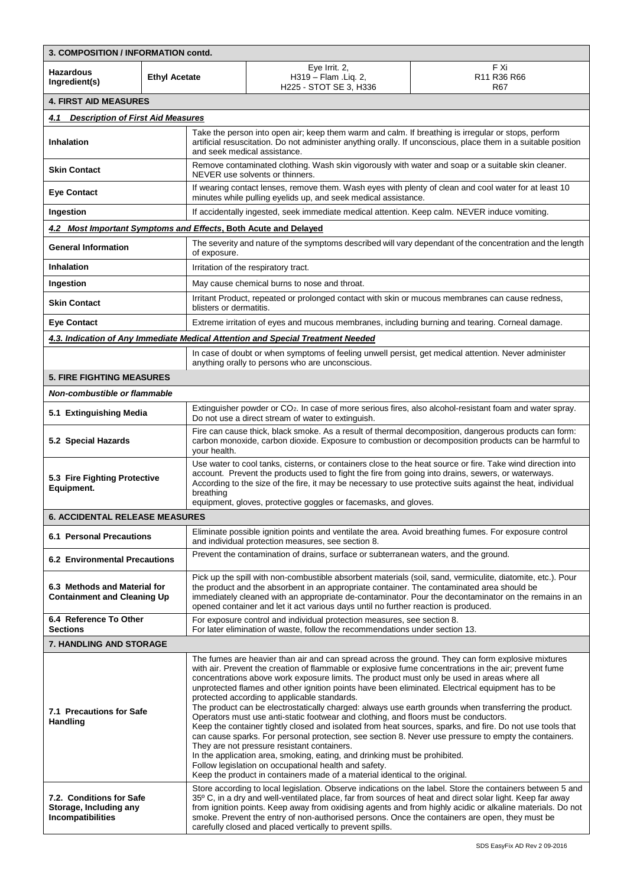| 3. COMPOSITION / INFORMATION contd.                                            |                                                                                                                                                                                                                                                                                                                                                                                                                                                                                                                                                                                                                                                                                                                                                                                                                                                                                                                                                                                                                                                                                                                                                             |                                                                                                                                                                                                                                                                                                                                                                                                                  |                                                                                                                                                                         |                                                                                                                |  |
|--------------------------------------------------------------------------------|-------------------------------------------------------------------------------------------------------------------------------------------------------------------------------------------------------------------------------------------------------------------------------------------------------------------------------------------------------------------------------------------------------------------------------------------------------------------------------------------------------------------------------------------------------------------------------------------------------------------------------------------------------------------------------------------------------------------------------------------------------------------------------------------------------------------------------------------------------------------------------------------------------------------------------------------------------------------------------------------------------------------------------------------------------------------------------------------------------------------------------------------------------------|------------------------------------------------------------------------------------------------------------------------------------------------------------------------------------------------------------------------------------------------------------------------------------------------------------------------------------------------------------------------------------------------------------------|-------------------------------------------------------------------------------------------------------------------------------------------------------------------------|----------------------------------------------------------------------------------------------------------------|--|
| Hazardous<br><b>Ethyl Acetate</b><br>Ingredient(s)                             |                                                                                                                                                                                                                                                                                                                                                                                                                                                                                                                                                                                                                                                                                                                                                                                                                                                                                                                                                                                                                                                                                                                                                             |                                                                                                                                                                                                                                                                                                                                                                                                                  | Eye Irrit. 2,<br>H319 - Flam . Lig. 2,<br>H225 - STOT SE 3, H336                                                                                                        | F Xi<br>R <sub>11</sub> R <sub>36</sub> R <sub>66</sub><br>R67                                                 |  |
| <b>4. FIRST AID MEASURES</b>                                                   |                                                                                                                                                                                                                                                                                                                                                                                                                                                                                                                                                                                                                                                                                                                                                                                                                                                                                                                                                                                                                                                                                                                                                             |                                                                                                                                                                                                                                                                                                                                                                                                                  |                                                                                                                                                                         |                                                                                                                |  |
| <b>Description of First Aid Measures</b><br>4.1                                |                                                                                                                                                                                                                                                                                                                                                                                                                                                                                                                                                                                                                                                                                                                                                                                                                                                                                                                                                                                                                                                                                                                                                             |                                                                                                                                                                                                                                                                                                                                                                                                                  |                                                                                                                                                                         |                                                                                                                |  |
| Inhalation                                                                     |                                                                                                                                                                                                                                                                                                                                                                                                                                                                                                                                                                                                                                                                                                                                                                                                                                                                                                                                                                                                                                                                                                                                                             |                                                                                                                                                                                                                                                                                                                                                                                                                  | Take the person into open air; keep them warm and calm. If breathing is irregular or stops, perform<br>and seek medical assistance.                                     | artificial resuscitation. Do not administer anything orally. If unconscious, place them in a suitable position |  |
| <b>Skin Contact</b>                                                            |                                                                                                                                                                                                                                                                                                                                                                                                                                                                                                                                                                                                                                                                                                                                                                                                                                                                                                                                                                                                                                                                                                                                                             |                                                                                                                                                                                                                                                                                                                                                                                                                  | Remove contaminated clothing. Wash skin vigorously with water and soap or a suitable skin cleaner.<br>NEVER use solvents or thinners.                                   |                                                                                                                |  |
| <b>Eye Contact</b>                                                             |                                                                                                                                                                                                                                                                                                                                                                                                                                                                                                                                                                                                                                                                                                                                                                                                                                                                                                                                                                                                                                                                                                                                                             |                                                                                                                                                                                                                                                                                                                                                                                                                  | If wearing contact lenses, remove them. Wash eyes with plenty of clean and cool water for at least 10<br>minutes while pulling eyelids up, and seek medical assistance. |                                                                                                                |  |
| Ingestion                                                                      |                                                                                                                                                                                                                                                                                                                                                                                                                                                                                                                                                                                                                                                                                                                                                                                                                                                                                                                                                                                                                                                                                                                                                             |                                                                                                                                                                                                                                                                                                                                                                                                                  | If accidentally ingested, seek immediate medical attention. Keep calm. NEVER induce vomiting.                                                                           |                                                                                                                |  |
| 4.2 Most Important Symptoms and Effects, Both Acute and Delayed                |                                                                                                                                                                                                                                                                                                                                                                                                                                                                                                                                                                                                                                                                                                                                                                                                                                                                                                                                                                                                                                                                                                                                                             |                                                                                                                                                                                                                                                                                                                                                                                                                  |                                                                                                                                                                         |                                                                                                                |  |
| <b>General Information</b>                                                     |                                                                                                                                                                                                                                                                                                                                                                                                                                                                                                                                                                                                                                                                                                                                                                                                                                                                                                                                                                                                                                                                                                                                                             | of exposure.                                                                                                                                                                                                                                                                                                                                                                                                     |                                                                                                                                                                         | The severity and nature of the symptoms described will vary dependant of the concentration and the length      |  |
| Inhalation                                                                     |                                                                                                                                                                                                                                                                                                                                                                                                                                                                                                                                                                                                                                                                                                                                                                                                                                                                                                                                                                                                                                                                                                                                                             |                                                                                                                                                                                                                                                                                                                                                                                                                  | Irritation of the respiratory tract.                                                                                                                                    |                                                                                                                |  |
| Ingestion                                                                      |                                                                                                                                                                                                                                                                                                                                                                                                                                                                                                                                                                                                                                                                                                                                                                                                                                                                                                                                                                                                                                                                                                                                                             |                                                                                                                                                                                                                                                                                                                                                                                                                  | May cause chemical burns to nose and throat.                                                                                                                            |                                                                                                                |  |
| <b>Skin Contact</b>                                                            |                                                                                                                                                                                                                                                                                                                                                                                                                                                                                                                                                                                                                                                                                                                                                                                                                                                                                                                                                                                                                                                                                                                                                             | blisters or dermatitis.                                                                                                                                                                                                                                                                                                                                                                                          | Irritant Product, repeated or prolonged contact with skin or mucous membranes can cause redness,                                                                        |                                                                                                                |  |
| <b>Eye Contact</b>                                                             |                                                                                                                                                                                                                                                                                                                                                                                                                                                                                                                                                                                                                                                                                                                                                                                                                                                                                                                                                                                                                                                                                                                                                             |                                                                                                                                                                                                                                                                                                                                                                                                                  | Extreme irritation of eyes and mucous membranes, including burning and tearing. Corneal damage.                                                                         |                                                                                                                |  |
|                                                                                |                                                                                                                                                                                                                                                                                                                                                                                                                                                                                                                                                                                                                                                                                                                                                                                                                                                                                                                                                                                                                                                                                                                                                             |                                                                                                                                                                                                                                                                                                                                                                                                                  | 4.3. Indication of Any Immediate Medical Attention and Special Treatment Needed                                                                                         |                                                                                                                |  |
|                                                                                |                                                                                                                                                                                                                                                                                                                                                                                                                                                                                                                                                                                                                                                                                                                                                                                                                                                                                                                                                                                                                                                                                                                                                             |                                                                                                                                                                                                                                                                                                                                                                                                                  | In case of doubt or when symptoms of feeling unwell persist, get medical attention. Never administer<br>anything orally to persons who are unconscious.                 |                                                                                                                |  |
| <b>5. FIRE FIGHTING MEASURES</b>                                               |                                                                                                                                                                                                                                                                                                                                                                                                                                                                                                                                                                                                                                                                                                                                                                                                                                                                                                                                                                                                                                                                                                                                                             |                                                                                                                                                                                                                                                                                                                                                                                                                  |                                                                                                                                                                         |                                                                                                                |  |
| Non-combustible or flammable                                                   |                                                                                                                                                                                                                                                                                                                                                                                                                                                                                                                                                                                                                                                                                                                                                                                                                                                                                                                                                                                                                                                                                                                                                             |                                                                                                                                                                                                                                                                                                                                                                                                                  |                                                                                                                                                                         |                                                                                                                |  |
| 5.1 Extinguishing Media                                                        |                                                                                                                                                                                                                                                                                                                                                                                                                                                                                                                                                                                                                                                                                                                                                                                                                                                                                                                                                                                                                                                                                                                                                             | Extinguisher powder or CO <sub>2</sub> . In case of more serious fires, also alcohol-resistant foam and water spray.<br>Do not use a direct stream of water to extinguish.                                                                                                                                                                                                                                       |                                                                                                                                                                         |                                                                                                                |  |
| 5.2 Special Hazards                                                            |                                                                                                                                                                                                                                                                                                                                                                                                                                                                                                                                                                                                                                                                                                                                                                                                                                                                                                                                                                                                                                                                                                                                                             | Fire can cause thick, black smoke. As a result of thermal decomposition, dangerous products can form:<br>carbon monoxide, carbon dioxide. Exposure to combustion or decomposition products can be harmful to<br>your health.                                                                                                                                                                                     |                                                                                                                                                                         |                                                                                                                |  |
| 5.3 Fire Fighting Protective<br>Equipment.                                     |                                                                                                                                                                                                                                                                                                                                                                                                                                                                                                                                                                                                                                                                                                                                                                                                                                                                                                                                                                                                                                                                                                                                                             | Use water to cool tanks, cisterns, or containers close to the heat source or fire. Take wind direction into<br>account. Prevent the products used to fight the fire from going into drains, sewers, or waterways.<br>According to the size of the fire, it may be necessary to use protective suits against the heat, individual<br>breathing<br>equipment, gloves, protective goggles or facemasks, and gloves. |                                                                                                                                                                         |                                                                                                                |  |
| <b>6. ACCIDENTAL RELEASE MEASURES</b>                                          |                                                                                                                                                                                                                                                                                                                                                                                                                                                                                                                                                                                                                                                                                                                                                                                                                                                                                                                                                                                                                                                                                                                                                             |                                                                                                                                                                                                                                                                                                                                                                                                                  |                                                                                                                                                                         |                                                                                                                |  |
| <b>6.1 Personal Precautions</b>                                                |                                                                                                                                                                                                                                                                                                                                                                                                                                                                                                                                                                                                                                                                                                                                                                                                                                                                                                                                                                                                                                                                                                                                                             | Eliminate possible ignition points and ventilate the area. Avoid breathing fumes. For exposure control<br>and individual protection measures, see section 8.                                                                                                                                                                                                                                                     |                                                                                                                                                                         |                                                                                                                |  |
| <b>6.2 Environmental Precautions</b>                                           |                                                                                                                                                                                                                                                                                                                                                                                                                                                                                                                                                                                                                                                                                                                                                                                                                                                                                                                                                                                                                                                                                                                                                             | Prevent the contamination of drains, surface or subterranean waters, and the ground.                                                                                                                                                                                                                                                                                                                             |                                                                                                                                                                         |                                                                                                                |  |
|                                                                                | Pick up the spill with non-combustible absorbent materials (soil, sand, vermiculite, diatomite, etc.). Pour<br>6.3 Methods and Material for<br>the product and the absorbent in an appropriate container. The contaminated area should be<br><b>Containment and Cleaning Up</b><br>immediately cleaned with an appropriate de-contaminator. Pour the decontaminator on the remains in an<br>opened container and let it act various days until no further reaction is produced.                                                                                                                                                                                                                                                                                                                                                                                                                                                                                                                                                                                                                                                                             |                                                                                                                                                                                                                                                                                                                                                                                                                  |                                                                                                                                                                         |                                                                                                                |  |
| 6.4 Reference To Other<br><b>Sections</b>                                      |                                                                                                                                                                                                                                                                                                                                                                                                                                                                                                                                                                                                                                                                                                                                                                                                                                                                                                                                                                                                                                                                                                                                                             | For exposure control and individual protection measures, see section 8.<br>For later elimination of waste, follow the recommendations under section 13.                                                                                                                                                                                                                                                          |                                                                                                                                                                         |                                                                                                                |  |
| <b>7. HANDLING AND STORAGE</b>                                                 |                                                                                                                                                                                                                                                                                                                                                                                                                                                                                                                                                                                                                                                                                                                                                                                                                                                                                                                                                                                                                                                                                                                                                             |                                                                                                                                                                                                                                                                                                                                                                                                                  |                                                                                                                                                                         |                                                                                                                |  |
| 7.1 Precautions for Safe<br><b>Handling</b>                                    | The fumes are heavier than air and can spread across the ground. They can form explosive mixtures<br>with air. Prevent the creation of flammable or explosive fume concentrations in the air; prevent fume<br>concentrations above work exposure limits. The product must only be used in areas where all<br>unprotected flames and other ignition points have been eliminated. Electrical equipment has to be<br>protected according to applicable standards.<br>The product can be electrostatically charged: always use earth grounds when transferring the product.<br>Operators must use anti-static footwear and clothing, and floors must be conductors.<br>Keep the container tightly closed and isolated from heat sources, sparks, and fire. Do not use tools that<br>can cause sparks. For personal protection, see section 8. Never use pressure to empty the containers.<br>They are not pressure resistant containers.<br>In the application area, smoking, eating, and drinking must be prohibited.<br>Follow legislation on occupational health and safety.<br>Keep the product in containers made of a material identical to the original. |                                                                                                                                                                                                                                                                                                                                                                                                                  |                                                                                                                                                                         |                                                                                                                |  |
| 7.2. Conditions for Safe<br>Storage, Including any<br><b>Incompatibilities</b> | Store according to local legislation. Observe indications on the label. Store the containers between 5 and<br>35° C, in a dry and well-ventilated place, far from sources of heat and direct solar light. Keep far away<br>from ignition points. Keep away from oxidising agents and from highly acidic or alkaline materials. Do not<br>smoke. Prevent the entry of non-authorised persons. Once the containers are open, they must be<br>carefully closed and placed vertically to prevent spills.                                                                                                                                                                                                                                                                                                                                                                                                                                                                                                                                                                                                                                                        |                                                                                                                                                                                                                                                                                                                                                                                                                  |                                                                                                                                                                         |                                                                                                                |  |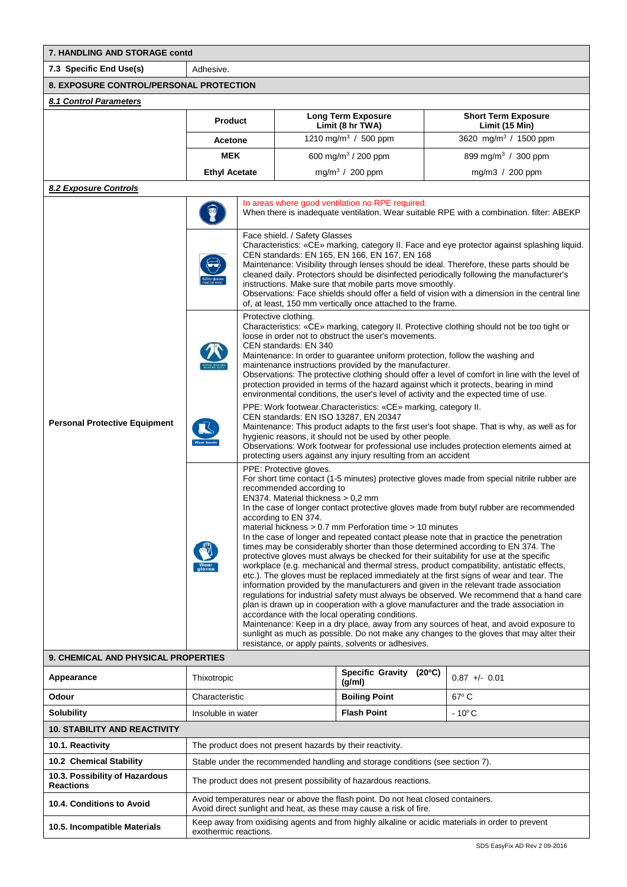| 7. HANDLING AND STORAGE contd           |                      |                                                                                                                                                                                                                                                                                                                                                                                                                                                                                                                                                                                                                                                                                                                                                                                                                                                                                                                                                                                                                                                                                                                        |                                                                                           |  |  |
|-----------------------------------------|----------------------|------------------------------------------------------------------------------------------------------------------------------------------------------------------------------------------------------------------------------------------------------------------------------------------------------------------------------------------------------------------------------------------------------------------------------------------------------------------------------------------------------------------------------------------------------------------------------------------------------------------------------------------------------------------------------------------------------------------------------------------------------------------------------------------------------------------------------------------------------------------------------------------------------------------------------------------------------------------------------------------------------------------------------------------------------------------------------------------------------------------------|-------------------------------------------------------------------------------------------|--|--|
| 7.3 Specific End Use(s)                 | Adhesive.            |                                                                                                                                                                                                                                                                                                                                                                                                                                                                                                                                                                                                                                                                                                                                                                                                                                                                                                                                                                                                                                                                                                                        |                                                                                           |  |  |
| 8. EXPOSURE CONTROL/PERSONAL PROTECTION |                      |                                                                                                                                                                                                                                                                                                                                                                                                                                                                                                                                                                                                                                                                                                                                                                                                                                                                                                                                                                                                                                                                                                                        |                                                                                           |  |  |
| 8.1 Control Parameters                  |                      |                                                                                                                                                                                                                                                                                                                                                                                                                                                                                                                                                                                                                                                                                                                                                                                                                                                                                                                                                                                                                                                                                                                        |                                                                                           |  |  |
|                                         | <b>Product</b>       | <b>Long Term Exposure</b><br>Limit (8 hr TWA)                                                                                                                                                                                                                                                                                                                                                                                                                                                                                                                                                                                                                                                                                                                                                                                                                                                                                                                                                                                                                                                                          | <b>Short Term Exposure</b><br>Limit (15 Min)                                              |  |  |
|                                         | <b>Acetone</b>       | 1210 mg/m <sup>3</sup> / 500 ppm                                                                                                                                                                                                                                                                                                                                                                                                                                                                                                                                                                                                                                                                                                                                                                                                                                                                                                                                                                                                                                                                                       | 3620 mg/m <sup>3</sup> / 1500 ppm                                                         |  |  |
|                                         | <b>MEK</b>           | 600 mg/m <sup>3</sup> / 200 ppm                                                                                                                                                                                                                                                                                                                                                                                                                                                                                                                                                                                                                                                                                                                                                                                                                                                                                                                                                                                                                                                                                        | 899 mg/m <sup>3</sup> / 300 ppm                                                           |  |  |
|                                         | <b>Ethyl Acetate</b> | mg/m <sup>3</sup> / 200 ppm                                                                                                                                                                                                                                                                                                                                                                                                                                                                                                                                                                                                                                                                                                                                                                                                                                                                                                                                                                                                                                                                                            | mg/m $3/200$ ppm                                                                          |  |  |
| 8.2 Exposure Controls                   |                      |                                                                                                                                                                                                                                                                                                                                                                                                                                                                                                                                                                                                                                                                                                                                                                                                                                                                                                                                                                                                                                                                                                                        |                                                                                           |  |  |
|                                         |                      | In areas where good ventilation no RPE required.<br>Face shield. / Safety Glasses                                                                                                                                                                                                                                                                                                                                                                                                                                                                                                                                                                                                                                                                                                                                                                                                                                                                                                                                                                                                                                      | When there is inadequate ventilation. Wear suitable RPE with a combination. filter: ABEKP |  |  |
|                                         |                      | Characteristics: «CE» marking, category II. Face and eye protector against splashing liquid.<br>CEN standards: EN 165, EN 166, EN 167, EN 168<br>Maintenance: Visibility through lenses should be ideal. Therefore, these parts should be<br>cleaned daily. Protectors should be disinfected periodically following the manufacturer's<br>instructions. Make sure that mobile parts move smoothly.<br>Observations: Face shields should offer a field of vision with a dimension in the central line<br>of, at least, 150 mm vertically once attached to the frame.                                                                                                                                                                                                                                                                                                                                                                                                                                                                                                                                                    |                                                                                           |  |  |
|                                         |                      | Protective clothing.<br>Characteristics: «CE» marking, category II. Protective clothing should not be too tight or<br>loose in order not to obstruct the user's movements.<br>CEN standards: EN 340<br>Maintenance: In order to guarantee uniform protection, follow the washing and<br>maintenance instructions provided by the manufacturer.<br>Observations: The protective clothing should offer a level of comfort in line with the level of<br>protection provided in terms of the hazard against which it protects, bearing in mind<br>environmental conditions, the user's level of activity and the expected time of use.                                                                                                                                                                                                                                                                                                                                                                                                                                                                                     |                                                                                           |  |  |
| <b>Personal Protective Equipment</b>    |                      | PPE: Work footwear. Characteristics: «CE» marking, category II.<br>CEN standards: EN ISO 13287, EN 20347<br>Maintenance: This product adapts to the first user's foot shape. That is why, as well as for<br>hygienic reasons, it should not be used by other people.<br>Observations: Work footwear for professional use includes protection elements aimed at<br>protecting users against any injury resulting from an accident                                                                                                                                                                                                                                                                                                                                                                                                                                                                                                                                                                                                                                                                                       |                                                                                           |  |  |
|                                         |                      | PPE: Protective gloves.<br>For short time contact (1-5 minutes) protective gloves made from special nitrile rubber are<br>recommended according to<br>EN374. Material thickness > 0,2 mm<br>In the case of longer contact protective gloves made from butyl rubber are recommended<br>according to EN 374.<br>material hickness > 0.7 mm Perforation time > 10 minutes<br>In the case of longer and repeated contact please note that in practice the penetration<br>times may be considerably shorter than those determined according to EN 374. The<br>protective gloves must always be checked for their suitability for use at the specific<br>workplace (e.g. mechanical and thermal stress, product compatibility, antistatic effects,<br>etc.). The gloves must be replaced immediately at the first signs of wear and tear. The<br>information provided by the manufacturers and given in the relevant trade association<br>regulations for industrial safety must always be observed. We recommend that a hand care<br>plan is drawn up in cooperation with a glove manufacturer and the trade association in |                                                                                           |  |  |

accordance with the local operating conditions. Maintenance: Keep in a dry place, away from any sources of heat, and avoid exposure to sunlight as much as possible. Do not make any changes to the gloves that may alter their resistance, or apply paints, solvents or adhesives.

## **9. CHEMICAL AND PHYSICAL PROPERTIES**

| Appearance                                         | Thixotropic                                                                                                                                            | <b>Specific Gravity</b><br>$(20^{\circ}C)$<br>(g/ml) | $0.87 + 0.01$   |  |
|----------------------------------------------------|--------------------------------------------------------------------------------------------------------------------------------------------------------|------------------------------------------------------|-----------------|--|
| Odour                                              | Characteristic                                                                                                                                         | <b>Boiling Point</b>                                 | $67^{\circ}$ C  |  |
| <b>Solubility</b>                                  | Insoluble in water                                                                                                                                     | <b>Flash Point</b>                                   | $-10^{\circ}$ C |  |
| <b>10. STABILITY AND REACTIVITY</b>                |                                                                                                                                                        |                                                      |                 |  |
| 10.1. Reactivity                                   | The product does not present hazards by their reactivity.                                                                                              |                                                      |                 |  |
| 10.2 Chemical Stability                            | Stable under the recommended handling and storage conditions (see section 7).                                                                          |                                                      |                 |  |
| 10.3. Possibility of Hazardous<br><b>Reactions</b> | The product does not present possibility of hazardous reactions.                                                                                       |                                                      |                 |  |
| 10.4. Conditions to Avoid                          | Avoid temperatures near or above the flash point. Do not heat closed containers.<br>Avoid direct sunlight and heat, as these may cause a risk of fire. |                                                      |                 |  |
| 10.5. Incompatible Materials                       | Keep away from oxidising agents and from highly alkaline or acidic materials in order to prevent<br>exothermic reactions.                              |                                                      |                 |  |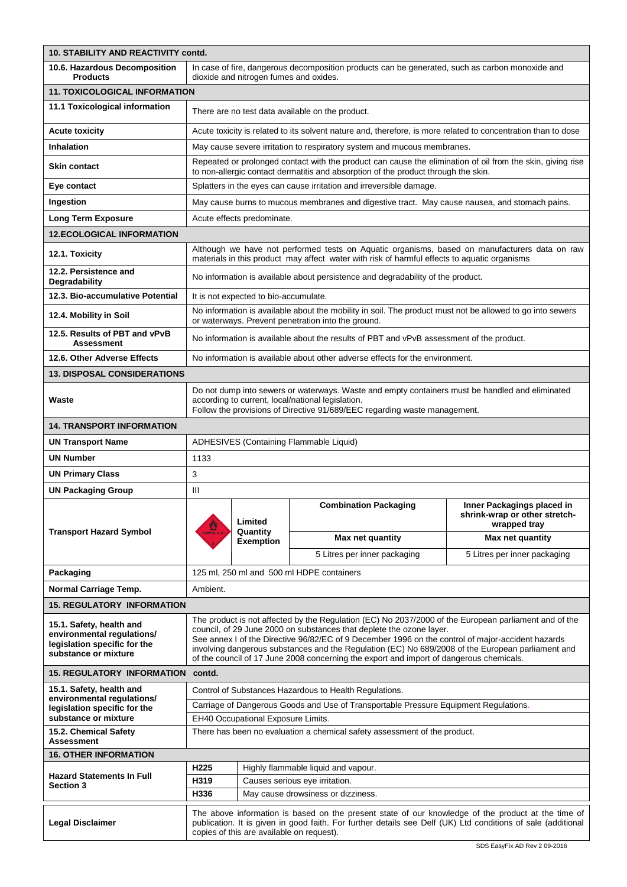| 10. STABILITY AND REACTIVITY contd.                                                                            |                                                                                                                                                                                                                                                                                                                                                                                                                                                                                    |                                                                                 |                                                                                                                                                                 |                                                                             |  |
|----------------------------------------------------------------------------------------------------------------|------------------------------------------------------------------------------------------------------------------------------------------------------------------------------------------------------------------------------------------------------------------------------------------------------------------------------------------------------------------------------------------------------------------------------------------------------------------------------------|---------------------------------------------------------------------------------|-----------------------------------------------------------------------------------------------------------------------------------------------------------------|-----------------------------------------------------------------------------|--|
| 10.6. Hazardous Decomposition<br><b>Products</b>                                                               | In case of fire, dangerous decomposition products can be generated, such as carbon monoxide and<br>dioxide and nitrogen fumes and oxides.                                                                                                                                                                                                                                                                                                                                          |                                                                                 |                                                                                                                                                                 |                                                                             |  |
| <b>11. TOXICOLOGICAL INFORMATION</b>                                                                           |                                                                                                                                                                                                                                                                                                                                                                                                                                                                                    |                                                                                 |                                                                                                                                                                 |                                                                             |  |
| 11.1 Toxicological information                                                                                 | There are no test data available on the product.                                                                                                                                                                                                                                                                                                                                                                                                                                   |                                                                                 |                                                                                                                                                                 |                                                                             |  |
| <b>Acute toxicity</b>                                                                                          |                                                                                                                                                                                                                                                                                                                                                                                                                                                                                    |                                                                                 | Acute toxicity is related to its solvent nature and, therefore, is more related to concentration than to dose                                                   |                                                                             |  |
| Inhalation                                                                                                     |                                                                                                                                                                                                                                                                                                                                                                                                                                                                                    |                                                                                 | May cause severe irritation to respiratory system and mucous membranes.                                                                                         |                                                                             |  |
| Skin contact                                                                                                   | Repeated or prolonged contact with the product can cause the elimination of oil from the skin, giving rise<br>to non-allergic contact dermatitis and absorption of the product through the skin.                                                                                                                                                                                                                                                                                   |                                                                                 |                                                                                                                                                                 |                                                                             |  |
| Eye contact                                                                                                    |                                                                                                                                                                                                                                                                                                                                                                                                                                                                                    |                                                                                 | Splatters in the eyes can cause irritation and irreversible damage.                                                                                             |                                                                             |  |
| Ingestion                                                                                                      | May cause burns to mucous membranes and digestive tract. May cause nausea, and stomach pains.                                                                                                                                                                                                                                                                                                                                                                                      |                                                                                 |                                                                                                                                                                 |                                                                             |  |
| <b>Long Term Exposure</b>                                                                                      |                                                                                                                                                                                                                                                                                                                                                                                                                                                                                    | Acute effects predominate.                                                      |                                                                                                                                                                 |                                                                             |  |
| <b>12.ECOLOGICAL INFORMATION</b>                                                                               |                                                                                                                                                                                                                                                                                                                                                                                                                                                                                    |                                                                                 |                                                                                                                                                                 |                                                                             |  |
| 12.1. Toxicity                                                                                                 | Although we have not performed tests on Aquatic organisms, based on manufacturers data on raw<br>materials in this product may affect water with risk of harmful effects to aquatic organisms                                                                                                                                                                                                                                                                                      |                                                                                 |                                                                                                                                                                 |                                                                             |  |
| 12.2. Persistence and<br>Degradability                                                                         |                                                                                                                                                                                                                                                                                                                                                                                                                                                                                    | No information is available about persistence and degradability of the product. |                                                                                                                                                                 |                                                                             |  |
| 12.3. Bio-accumulative Potential                                                                               |                                                                                                                                                                                                                                                                                                                                                                                                                                                                                    | It is not expected to bio-accumulate.                                           |                                                                                                                                                                 |                                                                             |  |
| 12.4. Mobility in Soil                                                                                         |                                                                                                                                                                                                                                                                                                                                                                                                                                                                                    |                                                                                 | No information is available about the mobility in soil. The product must not be allowed to go into sewers<br>or waterways. Prevent penetration into the ground. |                                                                             |  |
| 12.5. Results of PBT and vPvB<br>Assessment                                                                    |                                                                                                                                                                                                                                                                                                                                                                                                                                                                                    |                                                                                 | No information is available about the results of PBT and vPvB assessment of the product.                                                                        |                                                                             |  |
| 12.6. Other Adverse Effects                                                                                    |                                                                                                                                                                                                                                                                                                                                                                                                                                                                                    |                                                                                 | No information is available about other adverse effects for the environment.                                                                                    |                                                                             |  |
| <b>13. DISPOSAL CONSIDERATIONS</b>                                                                             |                                                                                                                                                                                                                                                                                                                                                                                                                                                                                    |                                                                                 |                                                                                                                                                                 |                                                                             |  |
| Waste                                                                                                          | Do not dump into sewers or waterways. Waste and empty containers must be handled and eliminated<br>according to current, local/national legislation.<br>Follow the provisions of Directive 91/689/EEC regarding waste management.                                                                                                                                                                                                                                                  |                                                                                 |                                                                                                                                                                 |                                                                             |  |
| <b>14. TRANSPORT INFORMATION</b>                                                                               |                                                                                                                                                                                                                                                                                                                                                                                                                                                                                    |                                                                                 |                                                                                                                                                                 |                                                                             |  |
| <b>UN Transport Name</b>                                                                                       |                                                                                                                                                                                                                                                                                                                                                                                                                                                                                    |                                                                                 | ADHESIVES (Containing Flammable Liquid)                                                                                                                         |                                                                             |  |
| UN Number                                                                                                      | 1133                                                                                                                                                                                                                                                                                                                                                                                                                                                                               |                                                                                 |                                                                                                                                                                 |                                                                             |  |
| <b>UN Primary Class</b>                                                                                        | 3                                                                                                                                                                                                                                                                                                                                                                                                                                                                                  |                                                                                 |                                                                                                                                                                 |                                                                             |  |
| UN Packaging Group                                                                                             | Ш                                                                                                                                                                                                                                                                                                                                                                                                                                                                                  |                                                                                 |                                                                                                                                                                 |                                                                             |  |
|                                                                                                                |                                                                                                                                                                                                                                                                                                                                                                                                                                                                                    | Limited<br>Quantity<br><b>Exemption</b>                                         | <b>Combination Packaging</b>                                                                                                                                    | Inner Packagings placed in<br>shrink-wrap or other stretch-<br>wrapped tray |  |
| <b>Transport Hazard Symbol</b>                                                                                 | <b>ELAMMELE UQU</b>                                                                                                                                                                                                                                                                                                                                                                                                                                                                |                                                                                 | Max net quantity                                                                                                                                                | Max net quantity                                                            |  |
|                                                                                                                |                                                                                                                                                                                                                                                                                                                                                                                                                                                                                    |                                                                                 | 5 Litres per inner packaging                                                                                                                                    | 5 Litres per inner packaging                                                |  |
| Packaging                                                                                                      |                                                                                                                                                                                                                                                                                                                                                                                                                                                                                    |                                                                                 | 125 ml, 250 ml and 500 ml HDPE containers                                                                                                                       |                                                                             |  |
| Normal Carriage Temp.                                                                                          | Ambient.                                                                                                                                                                                                                                                                                                                                                                                                                                                                           |                                                                                 |                                                                                                                                                                 |                                                                             |  |
| <b>15. REGULATORY INFORMATION</b>                                                                              |                                                                                                                                                                                                                                                                                                                                                                                                                                                                                    |                                                                                 |                                                                                                                                                                 |                                                                             |  |
| 15.1. Safety, health and<br>environmental regulations/<br>legislation specific for the<br>substance or mixture | The product is not affected by the Regulation (EC) No 2037/2000 of the European parliament and of the<br>council, of 29 June 2000 on substances that deplete the ozone layer.<br>See annex I of the Directive 96/82/EC of 9 December 1996 on the control of major-accident hazards<br>involving dangerous substances and the Regulation (EC) No 689/2008 of the European parliament and<br>of the council of 17 June 2008 concerning the export and import of dangerous chemicals. |                                                                                 |                                                                                                                                                                 |                                                                             |  |
| 15. REGULATORY INFORMATION                                                                                     | contd.                                                                                                                                                                                                                                                                                                                                                                                                                                                                             |                                                                                 |                                                                                                                                                                 |                                                                             |  |
| 15.1. Safety, health and                                                                                       | Control of Substances Hazardous to Health Regulations.                                                                                                                                                                                                                                                                                                                                                                                                                             |                                                                                 |                                                                                                                                                                 |                                                                             |  |
| environmental regulations/<br>legislation specific for the                                                     | Carriage of Dangerous Goods and Use of Transportable Pressure Equipment Regulations.                                                                                                                                                                                                                                                                                                                                                                                               |                                                                                 |                                                                                                                                                                 |                                                                             |  |
| substance or mixture                                                                                           | EH40 Occupational Exposure Limits                                                                                                                                                                                                                                                                                                                                                                                                                                                  |                                                                                 |                                                                                                                                                                 |                                                                             |  |
| 15.2. Chemical Safety<br>Assessment                                                                            | There has been no evaluation a chemical safety assessment of the product.                                                                                                                                                                                                                                                                                                                                                                                                          |                                                                                 |                                                                                                                                                                 |                                                                             |  |
| <b>16. OTHER INFORMATION</b>                                                                                   |                                                                                                                                                                                                                                                                                                                                                                                                                                                                                    |                                                                                 |                                                                                                                                                                 |                                                                             |  |
| <b>Hazard Statements In Full</b>                                                                               | H225<br>Highly flammable liquid and vapour.                                                                                                                                                                                                                                                                                                                                                                                                                                        |                                                                                 |                                                                                                                                                                 |                                                                             |  |
| Section 3                                                                                                      | H319                                                                                                                                                                                                                                                                                                                                                                                                                                                                               |                                                                                 | Causes serious eye irritation.                                                                                                                                  |                                                                             |  |
|                                                                                                                | H336                                                                                                                                                                                                                                                                                                                                                                                                                                                                               |                                                                                 | May cause drowsiness or dizziness.                                                                                                                              |                                                                             |  |
| <b>Legal Disclaimer</b>                                                                                        | The above information is based on the present state of our knowledge of the product at the time of<br>publication. It is given in good faith. For further details see Delf (UK) Ltd conditions of sale (additional<br>copies of this are available on request).                                                                                                                                                                                                                    |                                                                                 |                                                                                                                                                                 |                                                                             |  |